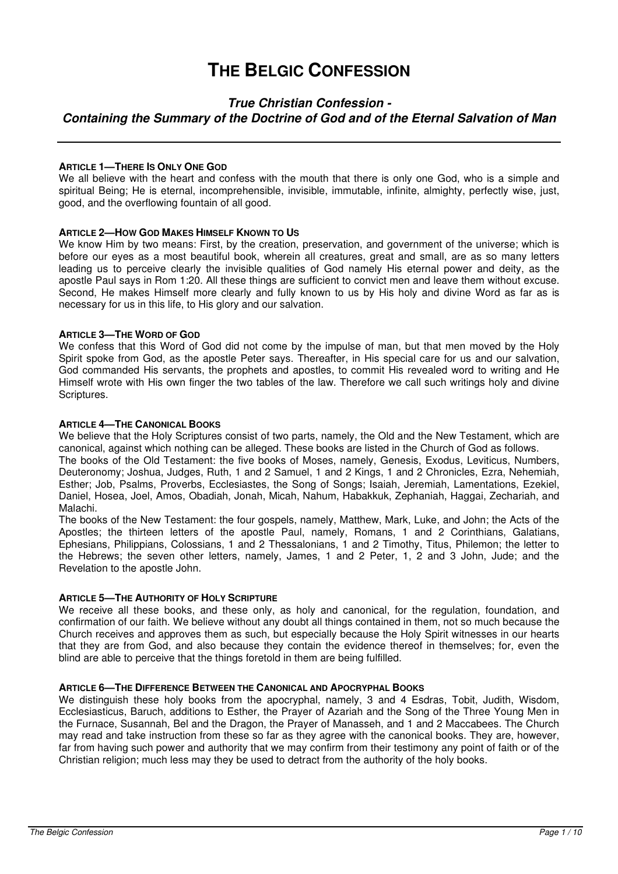# **THE BELGIC CONFESSION**

# **True Christian Confession - Containing the Summary of the Doctrine of God and of the Eternal Salvation of Man**

## **ARTICLE 1—THERE IS ONLY ONE GOD**

We all believe with the heart and confess with the mouth that there is only one God, who is a simple and spiritual Being; He is eternal, incomprehensible, invisible, immutable, infinite, almighty, perfectly wise, just, good, and the overflowing fountain of all good.

#### **ARTICLE 2—HOW GOD MAKES HIMSELF KNOWN TO US**

We know Him by two means: First, by the creation, preservation, and government of the universe; which is before our eyes as a most beautiful book, wherein all creatures, great and small, are as so many letters leading us to perceive clearly the invisible qualities of God namely His eternal power and deity, as the apostle Paul says in Rom 1:20. All these things are sufficient to convict men and leave them without excuse. Second, He makes Himself more clearly and fully known to us by His holy and divine Word as far as is necessary for us in this life, to His glory and our salvation.

## **ARTICLE 3—THE WORD OF GOD**

We confess that this Word of God did not come by the impulse of man, but that men moved by the Holy Spirit spoke from God, as the apostle Peter says. Thereafter, in His special care for us and our salvation, God commanded His servants, the prophets and apostles, to commit His revealed word to writing and He Himself wrote with His own finger the two tables of the law. Therefore we call such writings holy and divine Scriptures.

#### **ARTICLE 4—THE CANONICAL BOOKS**

We believe that the Holy Scriptures consist of two parts, namely, the Old and the New Testament, which are canonical, against which nothing can be alleged. These books are listed in the Church of God as follows.

The books of the Old Testament: the five books of Moses, namely, Genesis, Exodus, Leviticus, Numbers, Deuteronomy; Joshua, Judges, Ruth, 1 and 2 Samuel, 1 and 2 Kings, 1 and 2 Chronicles, Ezra, Nehemiah, Esther; Job, Psalms, Proverbs, Ecclesiastes, the Song of Songs; Isaiah, Jeremiah, Lamentations, Ezekiel, Daniel, Hosea, Joel, Amos, Obadiah, Jonah, Micah, Nahum, Habakkuk, Zephaniah, Haggai, Zechariah, and Malachi.

The books of the New Testament: the four gospels, namely, Matthew, Mark, Luke, and John; the Acts of the Apostles; the thirteen letters of the apostle Paul, namely, Romans, 1 and 2 Corinthians, Galatians, Ephesians, Philippians, Colossians, 1 and 2 Thessalonians, 1 and 2 Timothy, Titus, Philemon; the letter to the Hebrews; the seven other letters, namely, James, 1 and 2 Peter, 1, 2 and 3 John, Jude; and the Revelation to the apostle John.

# **ARTICLE 5—THE AUTHORITY OF HOLY SCRIPTURE**

We receive all these books, and these only, as holy and canonical, for the regulation, foundation, and confirmation of our faith. We believe without any doubt all things contained in them, not so much because the Church receives and approves them as such, but especially because the Holy Spirit witnesses in our hearts that they are from God, and also because they contain the evidence thereof in themselves; for, even the blind are able to perceive that the things foretold in them are being fulfilled.

#### **ARTICLE 6—THE DIFFERENCE BETWEEN THE CANONICAL AND APOCRYPHAL BOOKS**

We distinguish these holy books from the apocryphal, namely, 3 and 4 Esdras, Tobit, Judith, Wisdom, Ecclesiasticus, Baruch, additions to Esther, the Prayer of Azariah and the Song of the Three Young Men in the Furnace, Susannah, Bel and the Dragon, the Prayer of Manasseh, and 1 and 2 Maccabees. The Church may read and take instruction from these so far as they agree with the canonical books. They are, however, far from having such power and authority that we may confirm from their testimony any point of faith or of the Christian religion; much less may they be used to detract from the authority of the holy books.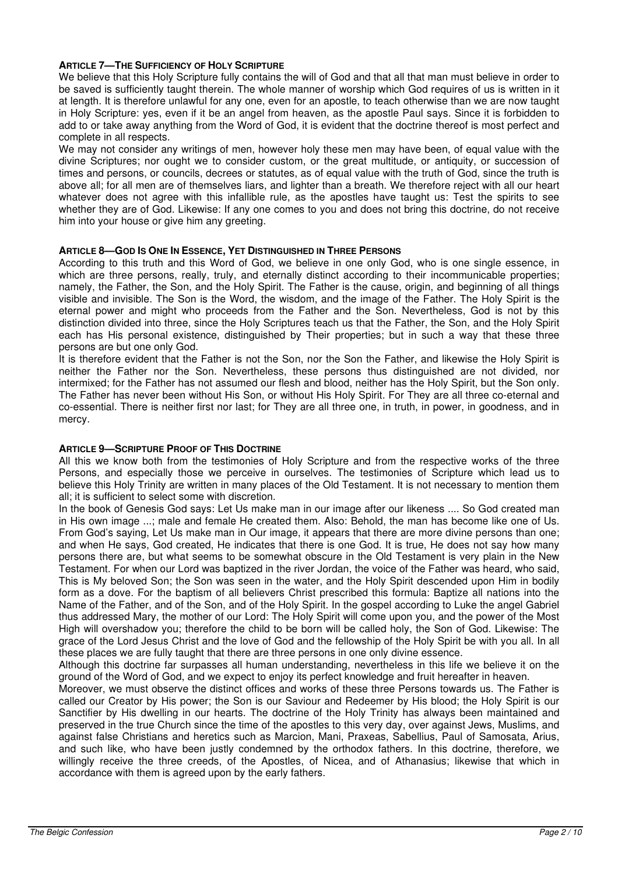# **ARTICLE 7—THE SUFFICIENCY OF HOLY SCRIPTURE**

We believe that this Holy Scripture fully contains the will of God and that all that man must believe in order to be saved is sufficiently taught therein. The whole manner of worship which God requires of us is written in it at length. It is therefore unlawful for any one, even for an apostle, to teach otherwise than we are now taught in Holy Scripture: yes, even if it be an angel from heaven, as the apostle Paul says. Since it is forbidden to add to or take away anything from the Word of God, it is evident that the doctrine thereof is most perfect and complete in all respects.

We may not consider any writings of men, however holy these men may have been, of equal value with the divine Scriptures; nor ought we to consider custom, or the great multitude, or antiquity, or succession of times and persons, or councils, decrees or statutes, as of equal value with the truth of God, since the truth is above all; for all men are of themselves liars, and lighter than a breath. We therefore reject with all our heart whatever does not agree with this infallible rule, as the apostles have taught us: Test the spirits to see whether they are of God. Likewise: If any one comes to you and does not bring this doctrine, do not receive him into your house or give him any greeting.

#### **ARTICLE 8—GOD IS ONE IN ESSENCE, YET DISTINGUISHED IN THREE PERSONS**

According to this truth and this Word of God, we believe in one only God, who is one single essence, in which are three persons, really, truly, and eternally distinct according to their incommunicable properties; namely, the Father, the Son, and the Holy Spirit. The Father is the cause, origin, and beginning of all things visible and invisible. The Son is the Word, the wisdom, and the image of the Father. The Holy Spirit is the eternal power and might who proceeds from the Father and the Son. Nevertheless, God is not by this distinction divided into three, since the Holy Scriptures teach us that the Father, the Son, and the Holy Spirit each has His personal existence, distinguished by Their properties; but in such a way that these three persons are but one only God.

It is therefore evident that the Father is not the Son, nor the Son the Father, and likewise the Holy Spirit is neither the Father nor the Son. Nevertheless, these persons thus distinguished are not divided, nor intermixed; for the Father has not assumed our flesh and blood, neither has the Holy Spirit, but the Son only. The Father has never been without His Son, or without His Holy Spirit. For They are all three co-eternal and co-essential. There is neither first nor last; for They are all three one, in truth, in power, in goodness, and in mercy.

#### **ARTICLE 9—SCRIPTURE PROOF OF THIS DOCTRINE**

All this we know both from the testimonies of Holy Scripture and from the respective works of the three Persons, and especially those we perceive in ourselves. The testimonies of Scripture which lead us to believe this Holy Trinity are written in many places of the Old Testament. It is not necessary to mention them all; it is sufficient to select some with discretion.

In the book of Genesis God says: Let Us make man in our image after our likeness .... So God created man in His own image ...; male and female He created them. Also: Behold, the man has become like one of Us. From God's saying, Let Us make man in Our image, it appears that there are more divine persons than one; and when He says, God created, He indicates that there is one God. It is true, He does not say how many persons there are, but what seems to be somewhat obscure in the Old Testament is very plain in the New Testament. For when our Lord was baptized in the river Jordan, the voice of the Father was heard, who said, This is My beloved Son; the Son was seen in the water, and the Holy Spirit descended upon Him in bodily form as a dove. For the baptism of all believers Christ prescribed this formula: Baptize all nations into the Name of the Father, and of the Son, and of the Holy Spirit. In the gospel according to Luke the angel Gabriel thus addressed Mary, the mother of our Lord: The Holy Spirit will come upon you, and the power of the Most High will overshadow you; therefore the child to be born will be called holy, the Son of God. Likewise: The grace of the Lord Jesus Christ and the love of God and the fellowship of the Holy Spirit be with you all. In all these places we are fully taught that there are three persons in one only divine essence.

Although this doctrine far surpasses all human understanding, nevertheless in this life we believe it on the ground of the Word of God, and we expect to enjoy its perfect knowledge and fruit hereafter in heaven.

Moreover, we must observe the distinct offices and works of these three Persons towards us. The Father is called our Creator by His power; the Son is our Saviour and Redeemer by His blood; the Holy Spirit is our Sanctifier by His dwelling in our hearts. The doctrine of the Holy Trinity has always been maintained and preserved in the true Church since the time of the apostles to this very day, over against Jews, Muslims, and against false Christians and heretics such as Marcion, Mani, Praxeas, Sabellius, Paul of Samosata, Arius, and such like, who have been justly condemned by the orthodox fathers. In this doctrine, therefore, we willingly receive the three creeds, of the Apostles, of Nicea, and of Athanasius; likewise that which in accordance with them is agreed upon by the early fathers.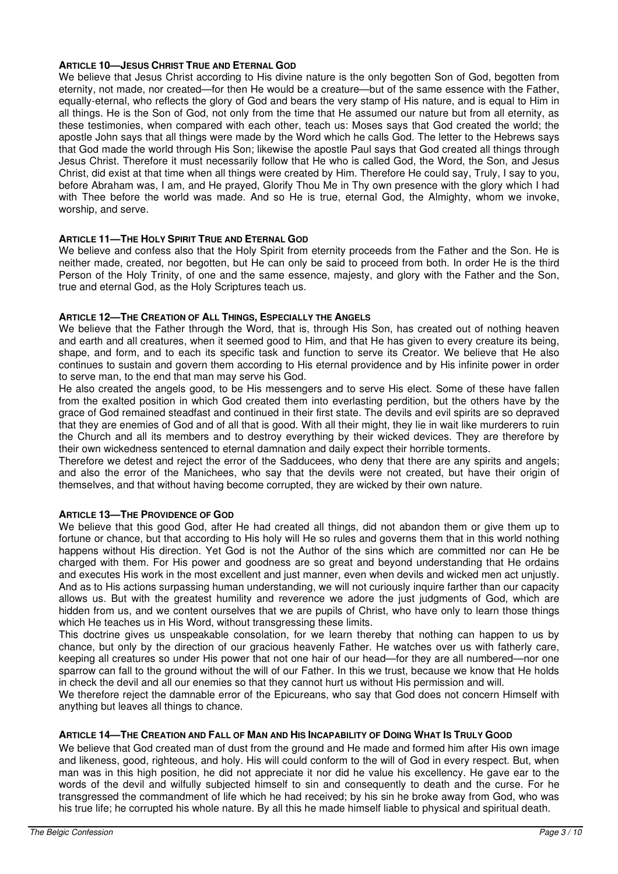## **ARTICLE 10—JESUS CHRIST TRUE AND ETERNAL GOD**

We believe that Jesus Christ according to His divine nature is the only begotten Son of God, begotten from eternity, not made, nor created—for then He would be a creature—but of the same essence with the Father, equally-eternal, who reflects the glory of God and bears the very stamp of His nature, and is equal to Him in all things. He is the Son of God, not only from the time that He assumed our nature but from all eternity, as these testimonies, when compared with each other, teach us: Moses says that God created the world; the apostle John says that all things were made by the Word which he calls God. The letter to the Hebrews says that God made the world through His Son; likewise the apostle Paul says that God created all things through Jesus Christ. Therefore it must necessarily follow that He who is called God, the Word, the Son, and Jesus Christ, did exist at that time when all things were created by Him. Therefore He could say, Truly, I say to you, before Abraham was, I am, and He prayed, Glorify Thou Me in Thy own presence with the glory which I had with Thee before the world was made. And so He is true, eternal God, the Almighty, whom we invoke, worship, and serve.

# **ARTICLE 11—THE HOLY SPIRIT TRUE AND ETERNAL GOD**

We believe and confess also that the Holy Spirit from eternity proceeds from the Father and the Son. He is neither made, created, nor begotten, but He can only be said to proceed from both. In order He is the third Person of the Holy Trinity, of one and the same essence, majesty, and glory with the Father and the Son, true and eternal God, as the Holy Scriptures teach us.

#### **ARTICLE 12—THE CREATION OF ALL THINGS, ESPECIALLY THE ANGELS**

We believe that the Father through the Word, that is, through His Son, has created out of nothing heaven and earth and all creatures, when it seemed good to Him, and that He has given to every creature its being, shape, and form, and to each its specific task and function to serve its Creator. We believe that He also continues to sustain and govern them according to His eternal providence and by His infinite power in order to serve man, to the end that man may serve his God.

He also created the angels good, to be His messengers and to serve His elect. Some of these have fallen from the exalted position in which God created them into everlasting perdition, but the others have by the grace of God remained steadfast and continued in their first state. The devils and evil spirits are so depraved that they are enemies of God and of all that is good. With all their might, they lie in wait like murderers to ruin the Church and all its members and to destroy everything by their wicked devices. They are therefore by their own wickedness sentenced to eternal damnation and daily expect their horrible torments.

Therefore we detest and reject the error of the Sadducees, who deny that there are any spirits and angels; and also the error of the Manichees, who say that the devils were not created, but have their origin of themselves, and that without having become corrupted, they are wicked by their own nature.

#### **ARTICLE 13—THE PROVIDENCE OF GOD**

We believe that this good God, after He had created all things, did not abandon them or give them up to fortune or chance, but that according to His holy will He so rules and governs them that in this world nothing happens without His direction. Yet God is not the Author of the sins which are committed nor can He be charged with them. For His power and goodness are so great and beyond understanding that He ordains and executes His work in the most excellent and just manner, even when devils and wicked men act unjustly. And as to His actions surpassing human understanding, we will not curiously inquire farther than our capacity allows us. But with the greatest humility and reverence we adore the just judgments of God, which are hidden from us, and we content ourselves that we are pupils of Christ, who have only to learn those things which He teaches us in His Word, without transgressing these limits.

This doctrine gives us unspeakable consolation, for we learn thereby that nothing can happen to us by chance, but only by the direction of our gracious heavenly Father. He watches over us with fatherly care, keeping all creatures so under His power that not one hair of our head—for they are all numbered—nor one sparrow can fall to the ground without the will of our Father. In this we trust, because we know that He holds in check the devil and all our enemies so that they cannot hurt us without His permission and will.

We therefore reject the damnable error of the Epicureans, who say that God does not concern Himself with anything but leaves all things to chance.

# ARTICLE 14-THE CREATION AND FALL OF MAN AND HIS INCAPABILITY OF DOING WHAT IS TRULY GOOD

We believe that God created man of dust from the ground and He made and formed him after His own image and likeness, good, righteous, and holy. His will could conform to the will of God in every respect. But, when man was in this high position, he did not appreciate it nor did he value his excellency. He gave ear to the words of the devil and wilfully subjected himself to sin and consequently to death and the curse. For he transgressed the commandment of life which he had received; by his sin he broke away from God, who was his true life; he corrupted his whole nature. By all this he made himself liable to physical and spiritual death.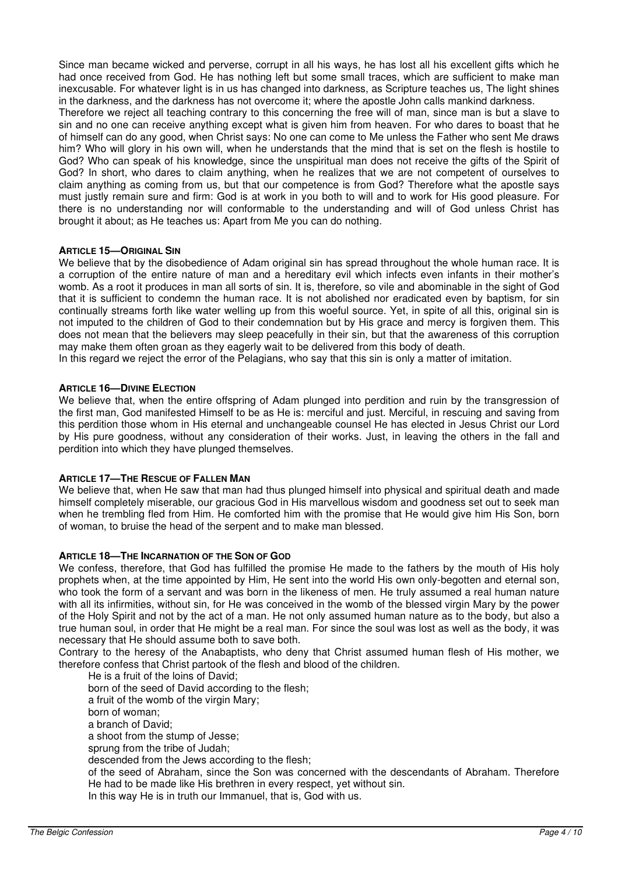Since man became wicked and perverse, corrupt in all his ways, he has lost all his excellent gifts which he had once received from God. He has nothing left but some small traces, which are sufficient to make man inexcusable. For whatever light is in us has changed into darkness, as Scripture teaches us, The light shines in the darkness, and the darkness has not overcome it; where the apostle John calls mankind darkness.

Therefore we reject all teaching contrary to this concerning the free will of man, since man is but a slave to sin and no one can receive anything except what is given him from heaven. For who dares to boast that he of himself can do any good, when Christ says: No one can come to Me unless the Father who sent Me draws him? Who will glory in his own will, when he understands that the mind that is set on the flesh is hostile to God? Who can speak of his knowledge, since the unspiritual man does not receive the gifts of the Spirit of God? In short, who dares to claim anything, when he realizes that we are not competent of ourselves to claim anything as coming from us, but that our competence is from God? Therefore what the apostle says must justly remain sure and firm: God is at work in you both to will and to work for His good pleasure. For there is no understanding nor will conformable to the understanding and will of God unless Christ has brought it about; as He teaches us: Apart from Me you can do nothing.

# **ARTICLE 15—ORIGINAL SIN**

We believe that by the disobedience of Adam original sin has spread throughout the whole human race. It is a corruption of the entire nature of man and a hereditary evil which infects even infants in their mother's womb. As a root it produces in man all sorts of sin. It is, therefore, so vile and abominable in the sight of God that it is sufficient to condemn the human race. It is not abolished nor eradicated even by baptism, for sin continually streams forth like water welling up from this woeful source. Yet, in spite of all this, original sin is not imputed to the children of God to their condemnation but by His grace and mercy is forgiven them. This does not mean that the believers may sleep peacefully in their sin, but that the awareness of this corruption may make them often groan as they eagerly wait to be delivered from this body of death.

In this regard we reject the error of the Pelagians, who say that this sin is only a matter of imitation.

# **ARTICLE 16—DIVINE ELECTION**

We believe that, when the entire offspring of Adam plunged into perdition and ruin by the transgression of the first man, God manifested Himself to be as He is: merciful and just. Merciful, in rescuing and saving from this perdition those whom in His eternal and unchangeable counsel He has elected in Jesus Christ our Lord by His pure goodness, without any consideration of their works. Just, in leaving the others in the fall and perdition into which they have plunged themselves.

# **ARTICLE 17—THE RESCUE OF FALLEN MAN**

We believe that, when He saw that man had thus plunged himself into physical and spiritual death and made himself completely miserable, our gracious God in His marvellous wisdom and goodness set out to seek man when he trembling fled from Him. He comforted him with the promise that He would give him His Son, born of woman, to bruise the head of the serpent and to make man blessed.

# **ARTICLE 18—THE INCARNATION OF THE SON OF GOD**

We confess, therefore, that God has fulfilled the promise He made to the fathers by the mouth of His holy prophets when, at the time appointed by Him, He sent into the world His own only-begotten and eternal son, who took the form of a servant and was born in the likeness of men. He truly assumed a real human nature with all its infirmities, without sin, for He was conceived in the womb of the blessed virgin Mary by the power of the Holy Spirit and not by the act of a man. He not only assumed human nature as to the body, but also a true human soul, in order that He might be a real man. For since the soul was lost as well as the body, it was necessary that He should assume both to save both.

Contrary to the heresy of the Anabaptists, who deny that Christ assumed human flesh of His mother, we therefore confess that Christ partook of the flesh and blood of the children.

He is a fruit of the loins of David; born of the seed of David according to the flesh; a fruit of the womb of the virgin Mary; born of woman; a branch of David; a shoot from the stump of Jesse; sprung from the tribe of Judah; descended from the Jews according to the flesh; of the seed of Abraham, since the Son was concerned with the descendants of Abraham. Therefore He had to be made like His brethren in every respect, yet without sin. In this way He is in truth our Immanuel, that is, God with us.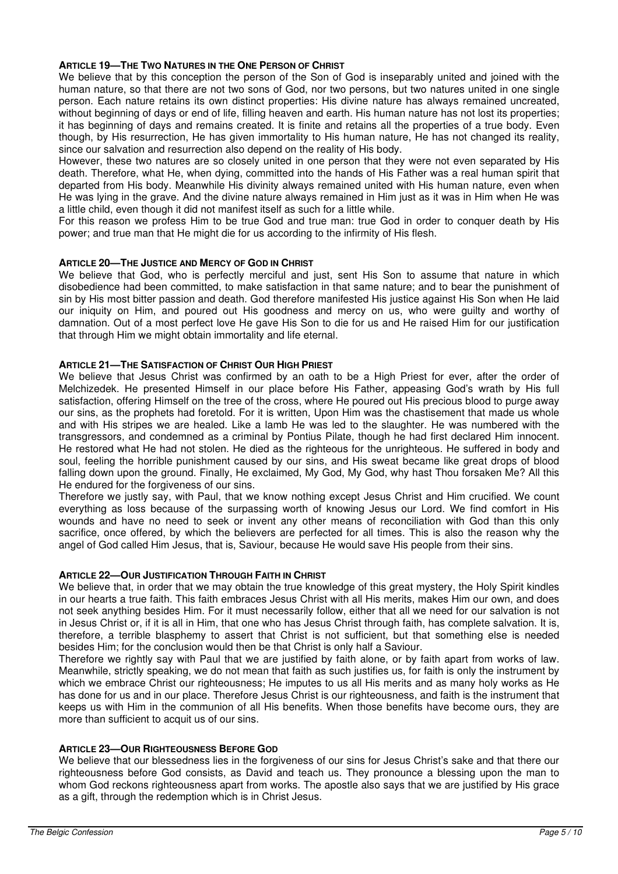# **ARTICLE 19—THE TWO NATURES IN THE ONE PERSON OF CHRIST**

We believe that by this conception the person of the Son of God is inseparably united and joined with the human nature, so that there are not two sons of God, nor two persons, but two natures united in one single person. Each nature retains its own distinct properties: His divine nature has always remained uncreated, without beginning of days or end of life, filling heaven and earth. His human nature has not lost its properties; it has beginning of days and remains created. It is finite and retains all the properties of a true body. Even though, by His resurrection, He has given immortality to His human nature, He has not changed its reality, since our salvation and resurrection also depend on the reality of His body.

However, these two natures are so closely united in one person that they were not even separated by His death. Therefore, what He, when dying, committed into the hands of His Father was a real human spirit that departed from His body. Meanwhile His divinity always remained united with His human nature, even when He was lying in the grave. And the divine nature always remained in Him just as it was in Him when He was a little child, even though it did not manifest itself as such for a little while.

For this reason we profess Him to be true God and true man: true God in order to conquer death by His power; and true man that He might die for us according to the infirmity of His flesh.

#### **ARTICLE 20—THE JUSTICE AND MERCY OF GOD IN CHRIST**

We believe that God, who is perfectly merciful and just, sent His Son to assume that nature in which disobedience had been committed, to make satisfaction in that same nature; and to bear the punishment of sin by His most bitter passion and death. God therefore manifested His justice against His Son when He laid our iniquity on Him, and poured out His goodness and mercy on us, who were guilty and worthy of damnation. Out of a most perfect love He gave His Son to die for us and He raised Him for our justification that through Him we might obtain immortality and life eternal.

#### **ARTICLE 21—THE SATISFACTION OF CHRIST OUR HIGH PRIEST**

We believe that Jesus Christ was confirmed by an oath to be a High Priest for ever, after the order of Melchizedek. He presented Himself in our place before His Father, appeasing God's wrath by His full satisfaction, offering Himself on the tree of the cross, where He poured out His precious blood to purge away our sins, as the prophets had foretold. For it is written, Upon Him was the chastisement that made us whole and with His stripes we are healed. Like a lamb He was led to the slaughter. He was numbered with the transgressors, and condemned as a criminal by Pontius Pilate, though he had first declared Him innocent. He restored what He had not stolen. He died as the righteous for the unrighteous. He suffered in body and soul, feeling the horrible punishment caused by our sins, and His sweat became like great drops of blood falling down upon the ground. Finally, He exclaimed, My God, My God, why hast Thou forsaken Me? All this He endured for the forgiveness of our sins.

Therefore we justly say, with Paul, that we know nothing except Jesus Christ and Him crucified. We count everything as loss because of the surpassing worth of knowing Jesus our Lord. We find comfort in His wounds and have no need to seek or invent any other means of reconciliation with God than this only sacrifice, once offered, by which the believers are perfected for all times. This is also the reason why the angel of God called Him Jesus, that is, Saviour, because He would save His people from their sins.

#### **ARTICLE 22—OUR JUSTIFICATION THROUGH FAITH IN CHRIST**

We believe that, in order that we may obtain the true knowledge of this great mystery, the Holy Spirit kindles in our hearts a true faith. This faith embraces Jesus Christ with all His merits, makes Him our own, and does not seek anything besides Him. For it must necessarily follow, either that all we need for our salvation is not in Jesus Christ or, if it is all in Him, that one who has Jesus Christ through faith, has complete salvation. It is, therefore, a terrible blasphemy to assert that Christ is not sufficient, but that something else is needed besides Him; for the conclusion would then be that Christ is only half a Saviour.

Therefore we rightly say with Paul that we are justified by faith alone, or by faith apart from works of law. Meanwhile, strictly speaking, we do not mean that faith as such justifies us, for faith is only the instrument by which we embrace Christ our righteousness; He imputes to us all His merits and as many holy works as He has done for us and in our place. Therefore Jesus Christ is our righteousness, and faith is the instrument that keeps us with Him in the communion of all His benefits. When those benefits have become ours, they are more than sufficient to acquit us of our sins.

#### **ARTICLE 23—OUR RIGHTEOUSNESS BEFORE GOD**

We believe that our blessedness lies in the forgiveness of our sins for Jesus Christ's sake and that there our righteousness before God consists, as David and teach us. They pronounce a blessing upon the man to whom God reckons righteousness apart from works. The apostle also says that we are justified by His grace as a gift, through the redemption which is in Christ Jesus.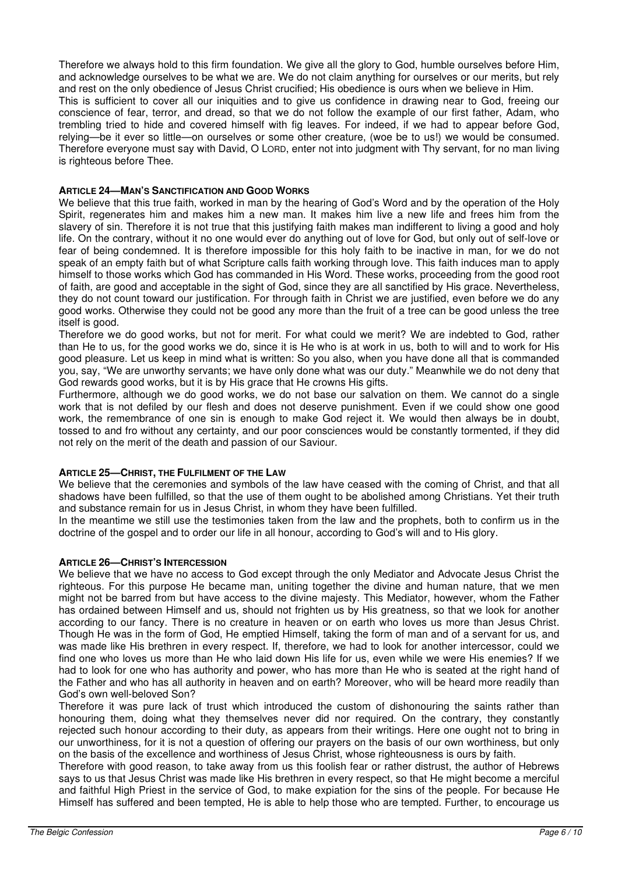Therefore we always hold to this firm foundation. We give all the glory to God, humble ourselves before Him, and acknowledge ourselves to be what we are. We do not claim anything for ourselves or our merits, but rely and rest on the only obedience of Jesus Christ crucified; His obedience is ours when we believe in Him. This is sufficient to cover all our iniquities and to give us confidence in drawing near to God, freeing our conscience of fear, terror, and dread, so that we do not follow the example of our first father, Adam, who trembling tried to hide and covered himself with fig leaves. For indeed, if we had to appear before God, relying—be it ever so little—on ourselves or some other creature, (woe be to us!) we would be consumed. Therefore everyone must say with David, O LORD, enter not into judgment with Thy servant, for no man living is righteous before Thee.

# **ARTICLE 24—MAN'S SANCTIFICATION AND GOOD WORKS**

We believe that this true faith, worked in man by the hearing of God's Word and by the operation of the Holy Spirit, regenerates him and makes him a new man. It makes him live a new life and frees him from the slavery of sin. Therefore it is not true that this justifying faith makes man indifferent to living a good and holy life. On the contrary, without it no one would ever do anything out of love for God, but only out of self-love or fear of being condemned. It is therefore impossible for this holy faith to be inactive in man, for we do not speak of an empty faith but of what Scripture calls faith working through love. This faith induces man to apply himself to those works which God has commanded in His Word. These works, proceeding from the good root of faith, are good and acceptable in the sight of God, since they are all sanctified by His grace. Nevertheless, they do not count toward our justification. For through faith in Christ we are justified, even before we do any good works. Otherwise they could not be good any more than the fruit of a tree can be good unless the tree itself is good.

Therefore we do good works, but not for merit. For what could we merit? We are indebted to God, rather than He to us, for the good works we do, since it is He who is at work in us, both to will and to work for His good pleasure. Let us keep in mind what is written: So you also, when you have done all that is commanded you, say, "We are unworthy servants; we have only done what was our duty." Meanwhile we do not deny that God rewards good works, but it is by His grace that He crowns His gifts.

Furthermore, although we do good works, we do not base our salvation on them. We cannot do a single work that is not defiled by our flesh and does not deserve punishment. Even if we could show one good work, the remembrance of one sin is enough to make God reject it. We would then always be in doubt, tossed to and fro without any certainty, and our poor consciences would be constantly tormented, if they did not rely on the merit of the death and passion of our Saviour.

## **ARTICLE 25—CHRIST, THE FULFILMENT OF THE LAW**

We believe that the ceremonies and symbols of the law have ceased with the coming of Christ, and that all shadows have been fulfilled, so that the use of them ought to be abolished among Christians. Yet their truth and substance remain for us in Jesus Christ, in whom they have been fulfilled.

In the meantime we still use the testimonies taken from the law and the prophets, both to confirm us in the doctrine of the gospel and to order our life in all honour, according to God's will and to His glory.

#### **ARTICLE 26—CHRIST'S INTERCESSION**

We believe that we have no access to God except through the only Mediator and Advocate Jesus Christ the righteous. For this purpose He became man, uniting together the divine and human nature, that we men might not be barred from but have access to the divine majesty. This Mediator, however, whom the Father has ordained between Himself and us, should not frighten us by His greatness, so that we look for another according to our fancy. There is no creature in heaven or on earth who loves us more than Jesus Christ. Though He was in the form of God, He emptied Himself, taking the form of man and of a servant for us, and was made like His brethren in every respect. If, therefore, we had to look for another intercessor, could we find one who loves us more than He who laid down His life for us, even while we were His enemies? If we had to look for one who has authority and power, who has more than He who is seated at the right hand of the Father and who has all authority in heaven and on earth? Moreover, who will be heard more readily than God's own well-beloved Son?

Therefore it was pure lack of trust which introduced the custom of dishonouring the saints rather than honouring them, doing what they themselves never did nor required. On the contrary, they constantly rejected such honour according to their duty, as appears from their writings. Here one ought not to bring in our unworthiness, for it is not a question of offering our prayers on the basis of our own worthiness, but only on the basis of the excellence and worthiness of Jesus Christ, whose righteousness is ours by faith.

Therefore with good reason, to take away from us this foolish fear or rather distrust, the author of Hebrews says to us that Jesus Christ was made like His brethren in every respect, so that He might become a merciful and faithful High Priest in the service of God, to make expiation for the sins of the people. For because He Himself has suffered and been tempted, He is able to help those who are tempted. Further, to encourage us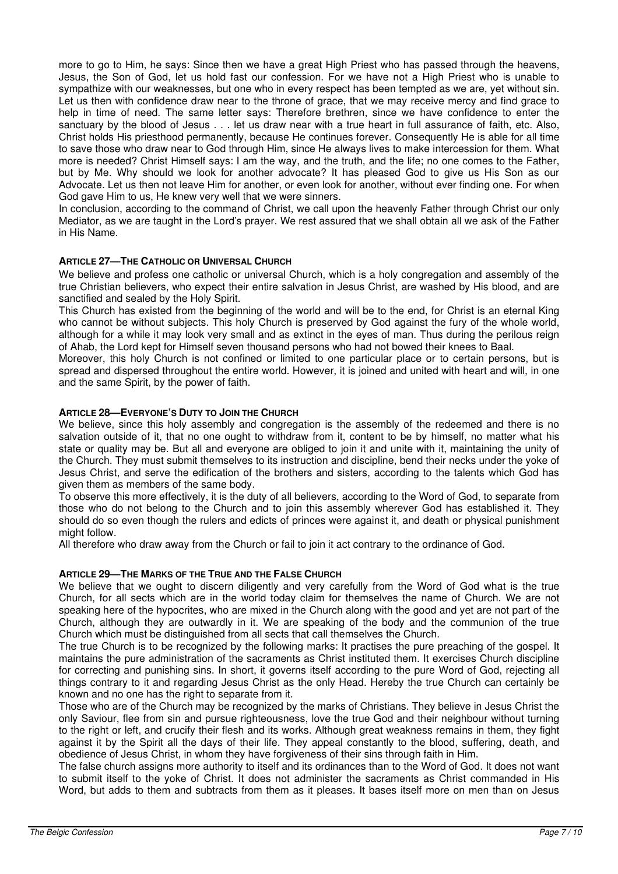more to go to Him, he says: Since then we have a great High Priest who has passed through the heavens, Jesus, the Son of God, let us hold fast our confession. For we have not a High Priest who is unable to sympathize with our weaknesses, but one who in every respect has been tempted as we are, yet without sin. Let us then with confidence draw near to the throne of grace, that we may receive mercy and find grace to help in time of need. The same letter says: Therefore brethren, since we have confidence to enter the sanctuary by the blood of Jesus . . . let us draw near with a true heart in full assurance of faith, etc. Also, Christ holds His priesthood permanently, because He continues forever. Consequently He is able for all time to save those who draw near to God through Him, since He always lives to make intercession for them. What more is needed? Christ Himself says: I am the way, and the truth, and the life; no one comes to the Father, but by Me. Why should we look for another advocate? It has pleased God to give us His Son as our Advocate. Let us then not leave Him for another, or even look for another, without ever finding one. For when God gave Him to us, He knew very well that we were sinners.

In conclusion, according to the command of Christ, we call upon the heavenly Father through Christ our only Mediator, as we are taught in the Lord's prayer. We rest assured that we shall obtain all we ask of the Father in His Name.

# **ARTICLE 27—THE CATHOLIC OR UNIVERSAL CHURCH**

We believe and profess one catholic or universal Church, which is a holy congregation and assembly of the true Christian believers, who expect their entire salvation in Jesus Christ, are washed by His blood, and are sanctified and sealed by the Holy Spirit.

This Church has existed from the beginning of the world and will be to the end, for Christ is an eternal King who cannot be without subjects. This holy Church is preserved by God against the fury of the whole world, although for a while it may look very small and as extinct in the eyes of man. Thus during the perilous reign of Ahab, the Lord kept for Himself seven thousand persons who had not bowed their knees to Baal.

Moreover, this holy Church is not confined or limited to one particular place or to certain persons, but is spread and dispersed throughout the entire world. However, it is joined and united with heart and will, in one and the same Spirit, by the power of faith.

# **ARTICLE 28—EVERYONE'S DUTY TO JOIN THE CHURCH**

We believe, since this holy assembly and congregation is the assembly of the redeemed and there is no salvation outside of it, that no one ought to withdraw from it, content to be by himself, no matter what his state or quality may be. But all and everyone are obliged to join it and unite with it, maintaining the unity of the Church. They must submit themselves to its instruction and discipline, bend their necks under the yoke of Jesus Christ, and serve the edification of the brothers and sisters, according to the talents which God has given them as members of the same body.

To observe this more effectively, it is the duty of all believers, according to the Word of God, to separate from those who do not belong to the Church and to join this assembly wherever God has established it. They should do so even though the rulers and edicts of princes were against it, and death or physical punishment might follow.

All therefore who draw away from the Church or fail to join it act contrary to the ordinance of God.

# **ARTICLE 29—THE MARKS OF THE TRUE AND THE FALSE CHURCH**

We believe that we ought to discern diligently and very carefully from the Word of God what is the true Church, for all sects which are in the world today claim for themselves the name of Church. We are not speaking here of the hypocrites, who are mixed in the Church along with the good and yet are not part of the Church, although they are outwardly in it. We are speaking of the body and the communion of the true Church which must be distinguished from all sects that call themselves the Church.

The true Church is to be recognized by the following marks: It practises the pure preaching of the gospel. It maintains the pure administration of the sacraments as Christ instituted them. It exercises Church discipline for correcting and punishing sins. In short, it governs itself according to the pure Word of God, rejecting all things contrary to it and regarding Jesus Christ as the only Head. Hereby the true Church can certainly be known and no one has the right to separate from it.

Those who are of the Church may be recognized by the marks of Christians. They believe in Jesus Christ the only Saviour, flee from sin and pursue righteousness, love the true God and their neighbour without turning to the right or left, and crucify their flesh and its works. Although great weakness remains in them, they fight against it by the Spirit all the days of their life. They appeal constantly to the blood, suffering, death, and obedience of Jesus Christ, in whom they have forgiveness of their sins through faith in Him.

The false church assigns more authority to itself and its ordinances than to the Word of God. It does not want to submit itself to the yoke of Christ. It does not administer the sacraments as Christ commanded in His Word, but adds to them and subtracts from them as it pleases. It bases itself more on men than on Jesus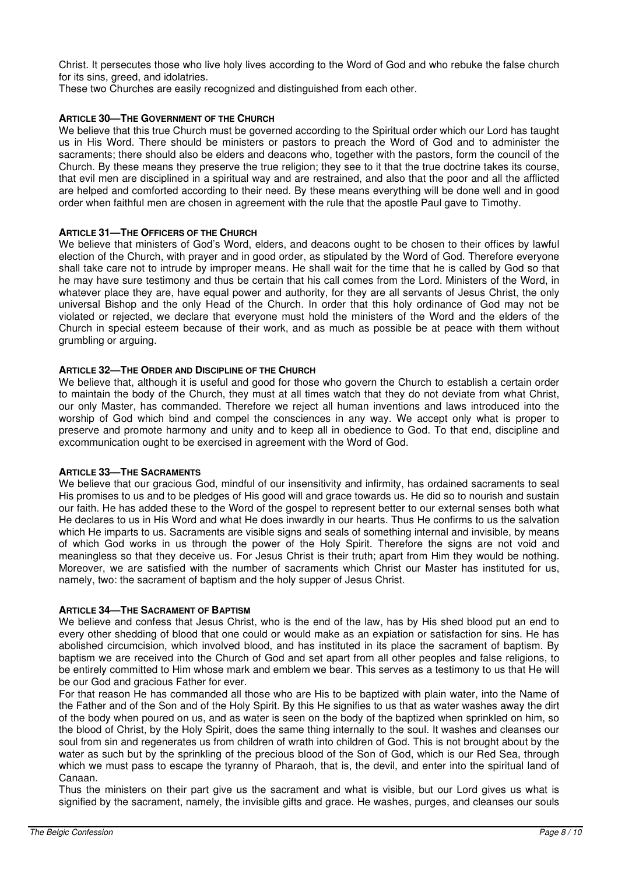Christ. It persecutes those who live holy lives according to the Word of God and who rebuke the false church for its sins, greed, and idolatries.

These two Churches are easily recognized and distinguished from each other.

# **ARTICLE 30—THE GOVERNMENT OF THE CHURCH**

We believe that this true Church must be governed according to the Spiritual order which our Lord has taught us in His Word. There should be ministers or pastors to preach the Word of God and to administer the sacraments; there should also be elders and deacons who, together with the pastors, form the council of the Church. By these means they preserve the true religion; they see to it that the true doctrine takes its course, that evil men are disciplined in a spiritual way and are restrained, and also that the poor and all the afflicted are helped and comforted according to their need. By these means everything will be done well and in good order when faithful men are chosen in agreement with the rule that the apostle Paul gave to Timothy.

# **ARTICLE 31—THE OFFICERS OF THE CHURCH**

We believe that ministers of God's Word, elders, and deacons ought to be chosen to their offices by lawful election of the Church, with prayer and in good order, as stipulated by the Word of God. Therefore everyone shall take care not to intrude by improper means. He shall wait for the time that he is called by God so that he may have sure testimony and thus be certain that his call comes from the Lord. Ministers of the Word, in whatever place they are, have equal power and authority, for they are all servants of Jesus Christ, the only universal Bishop and the only Head of the Church. In order that this holy ordinance of God may not be violated or rejected, we declare that everyone must hold the ministers of the Word and the elders of the Church in special esteem because of their work, and as much as possible be at peace with them without grumbling or arguing.

# **ARTICLE 32—THE ORDER AND DISCIPLINE OF THE CHURCH**

We believe that, although it is useful and good for those who govern the Church to establish a certain order to maintain the body of the Church, they must at all times watch that they do not deviate from what Christ, our only Master, has commanded. Therefore we reject all human inventions and laws introduced into the worship of God which bind and compel the consciences in any way. We accept only what is proper to preserve and promote harmony and unity and to keep all in obedience to God. To that end, discipline and excommunication ought to be exercised in agreement with the Word of God.

# **ARTICLE 33—THE SACRAMENTS**

We believe that our gracious God, mindful of our insensitivity and infirmity, has ordained sacraments to seal His promises to us and to be pledges of His good will and grace towards us. He did so to nourish and sustain our faith. He has added these to the Word of the gospel to represent better to our external senses both what He declares to us in His Word and what He does inwardly in our hearts. Thus He confirms to us the salvation which He imparts to us. Sacraments are visible signs and seals of something internal and invisible, by means of which God works in us through the power of the Holy Spirit. Therefore the signs are not void and meaningless so that they deceive us. For Jesus Christ is their truth; apart from Him they would be nothing. Moreover, we are satisfied with the number of sacraments which Christ our Master has instituted for us, namely, two: the sacrament of baptism and the holy supper of Jesus Christ.

# **ARTICLE 34—THE SACRAMENT OF BAPTISM**

We believe and confess that Jesus Christ, who is the end of the law, has by His shed blood put an end to every other shedding of blood that one could or would make as an expiation or satisfaction for sins. He has abolished circumcision, which involved blood, and has instituted in its place the sacrament of baptism. By baptism we are received into the Church of God and set apart from all other peoples and false religions, to be entirely committed to Him whose mark and emblem we bear. This serves as a testimony to us that He will be our God and gracious Father for ever.

For that reason He has commanded all those who are His to be baptized with plain water, into the Name of the Father and of the Son and of the Holy Spirit. By this He signifies to us that as water washes away the dirt of the body when poured on us, and as water is seen on the body of the baptized when sprinkled on him, so the blood of Christ, by the Holy Spirit, does the same thing internally to the soul. It washes and cleanses our soul from sin and regenerates us from children of wrath into children of God. This is not brought about by the water as such but by the sprinkling of the precious blood of the Son of God, which is our Red Sea, through which we must pass to escape the tyranny of Pharaoh, that is, the devil, and enter into the spiritual land of Canaan.

Thus the ministers on their part give us the sacrament and what is visible, but our Lord gives us what is signified by the sacrament, namely, the invisible gifts and grace. He washes, purges, and cleanses our souls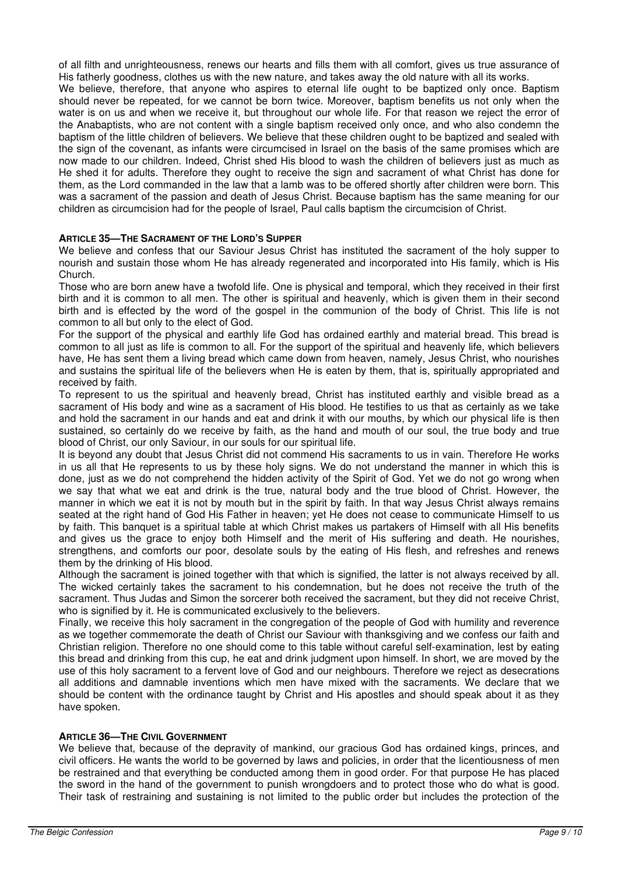of all filth and unrighteousness, renews our hearts and fills them with all comfort, gives us true assurance of His fatherly goodness, clothes us with the new nature, and takes away the old nature with all its works.

We believe, therefore, that anyone who aspires to eternal life ought to be baptized only once. Baptism should never be repeated, for we cannot be born twice. Moreover, baptism benefits us not only when the water is on us and when we receive it, but throughout our whole life. For that reason we reject the error of the Anabaptists, who are not content with a single baptism received only once, and who also condemn the baptism of the little children of believers. We believe that these children ought to be baptized and sealed with the sign of the covenant, as infants were circumcised in Israel on the basis of the same promises which are now made to our children. Indeed, Christ shed His blood to wash the children of believers just as much as He shed it for adults. Therefore they ought to receive the sign and sacrament of what Christ has done for them, as the Lord commanded in the law that a lamb was to be offered shortly after children were born. This was a sacrament of the passion and death of Jesus Christ. Because baptism has the same meaning for our children as circumcision had for the people of Israel, Paul calls baptism the circumcision of Christ.

# **ARTICLE 35—THE SACRAMENT OF THE LORD'S SUPPER**

We believe and confess that our Saviour Jesus Christ has instituted the sacrament of the holy supper to nourish and sustain those whom He has already regenerated and incorporated into His family, which is His Church.

Those who are born anew have a twofold life. One is physical and temporal, which they received in their first birth and it is common to all men. The other is spiritual and heavenly, which is given them in their second birth and is effected by the word of the gospel in the communion of the body of Christ. This life is not common to all but only to the elect of God.

For the support of the physical and earthly life God has ordained earthly and material bread. This bread is common to all just as life is common to all. For the support of the spiritual and heavenly life, which believers have, He has sent them a living bread which came down from heaven, namely, Jesus Christ, who nourishes and sustains the spiritual life of the believers when He is eaten by them, that is, spiritually appropriated and received by faith.

To represent to us the spiritual and heavenly bread, Christ has instituted earthly and visible bread as a sacrament of His body and wine as a sacrament of His blood. He testifies to us that as certainly as we take and hold the sacrament in our hands and eat and drink it with our mouths, by which our physical life is then sustained, so certainly do we receive by faith, as the hand and mouth of our soul, the true body and true blood of Christ, our only Saviour, in our souls for our spiritual life.

It is beyond any doubt that Jesus Christ did not commend His sacraments to us in vain. Therefore He works in us all that He represents to us by these holy signs. We do not understand the manner in which this is done, just as we do not comprehend the hidden activity of the Spirit of God. Yet we do not go wrong when we say that what we eat and drink is the true, natural body and the true blood of Christ. However, the manner in which we eat it is not by mouth but in the spirit by faith. In that way Jesus Christ always remains seated at the right hand of God His Father in heaven; yet He does not cease to communicate Himself to us by faith. This banquet is a spiritual table at which Christ makes us partakers of Himself with all His benefits and gives us the grace to enjoy both Himself and the merit of His suffering and death. He nourishes, strengthens, and comforts our poor, desolate souls by the eating of His flesh, and refreshes and renews them by the drinking of His blood.

Although the sacrament is joined together with that which is signified, the latter is not always received by all. The wicked certainly takes the sacrament to his condemnation, but he does not receive the truth of the sacrament. Thus Judas and Simon the sorcerer both received the sacrament, but they did not receive Christ, who is signified by it. He is communicated exclusively to the believers.

Finally, we receive this holy sacrament in the congregation of the people of God with humility and reverence as we together commemorate the death of Christ our Saviour with thanksgiving and we confess our faith and Christian religion. Therefore no one should come to this table without careful self-examination, lest by eating this bread and drinking from this cup, he eat and drink judgment upon himself. In short, we are moved by the use of this holy sacrament to a fervent love of God and our neighbours. Therefore we reject as desecrations all additions and damnable inventions which men have mixed with the sacraments. We declare that we should be content with the ordinance taught by Christ and His apostles and should speak about it as they have spoken.

# **ARTICLE 36—THE CIVIL GOVERNMENT**

We believe that, because of the depravity of mankind, our gracious God has ordained kings, princes, and civil officers. He wants the world to be governed by laws and policies, in order that the licentiousness of men be restrained and that everything be conducted among them in good order. For that purpose He has placed the sword in the hand of the government to punish wrongdoers and to protect those who do what is good. Their task of restraining and sustaining is not limited to the public order but includes the protection of the